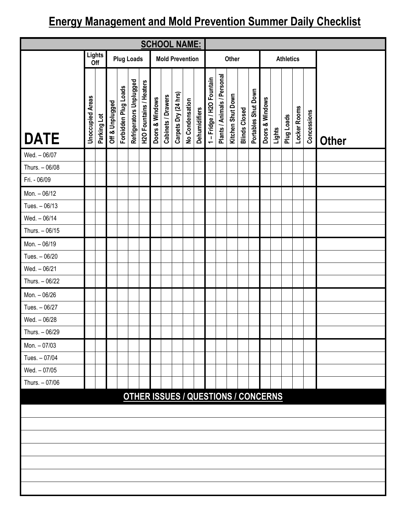## **Energy Management and Mold Prevention Summer Daily Checklist**

| <b>SCHOOL NAME:</b> |                                                              |             |                 |                      |                         |                                |                 |                    |                      |                 |               |                         |                             |                   |                      |                                            |                 |        |                  |              |             |              |
|---------------------|--------------------------------------------------------------|-------------|-----------------|----------------------|-------------------------|--------------------------------|-----------------|--------------------|----------------------|-----------------|---------------|-------------------------|-----------------------------|-------------------|----------------------|--------------------------------------------|-----------------|--------|------------------|--------------|-------------|--------------|
|                     | Lights<br><b>Plug Loads</b><br><b>Mold Prevention</b><br>Off |             |                 |                      |                         |                                |                 |                    |                      |                 |               |                         |                             | Other             |                      |                                            |                 |        | <b>Athletics</b> |              |             |              |
| <b>DATE</b>         | <b>Unoccupied Areas</b>                                      | Parking Lot | Off & Unplugged | Forbidden Plug Loads | Refrigerators Unplugged | <b>H2O Fountains / Heaters</b> | Doors & Windows | Cabinets / Drawers | Carpets Dry (24 hrs) | No Condensation | Dehumidifiers | 1-Fridge / H2O Fountain | Plants / Animals / Personal | Kitchen Shut Down | <b>Blinds Closed</b> | Portables Shut Down                        | Doors & Windows | Lights | Plug Loads       | Locker Rooms | Concessions | <b>Other</b> |
| Wed. - 06/07        |                                                              |             |                 |                      |                         |                                |                 |                    |                      |                 |               |                         |                             |                   |                      |                                            |                 |        |                  |              |             |              |
| Thurs. - 06/08      |                                                              |             |                 |                      |                         |                                |                 |                    |                      |                 |               |                         |                             |                   |                      |                                            |                 |        |                  |              |             |              |
| Fri. - 06/09        |                                                              |             |                 |                      |                         |                                |                 |                    |                      |                 |               |                         |                             |                   |                      |                                            |                 |        |                  |              |             |              |
| Mon. - 06/12        |                                                              |             |                 |                      |                         |                                |                 |                    |                      |                 |               |                         |                             |                   |                      |                                            |                 |        |                  |              |             |              |
| Tues. - 06/13       |                                                              |             |                 |                      |                         |                                |                 |                    |                      |                 |               |                         |                             |                   |                      |                                            |                 |        |                  |              |             |              |
| Wed. - 06/14        |                                                              |             |                 |                      |                         |                                |                 |                    |                      |                 |               |                         |                             |                   |                      |                                            |                 |        |                  |              |             |              |
| Thurs. - 06/15      |                                                              |             |                 |                      |                         |                                |                 |                    |                      |                 |               |                         |                             |                   |                      |                                            |                 |        |                  |              |             |              |
| Mon. - 06/19        |                                                              |             |                 |                      |                         |                                |                 |                    |                      |                 |               |                         |                             |                   |                      |                                            |                 |        |                  |              |             |              |
| Tues. - 06/20       |                                                              |             |                 |                      |                         |                                |                 |                    |                      |                 |               |                         |                             |                   |                      |                                            |                 |        |                  |              |             |              |
| Wed. - 06/21        |                                                              |             |                 |                      |                         |                                |                 |                    |                      |                 |               |                         |                             |                   |                      |                                            |                 |        |                  |              |             |              |
| Thurs. - 06/22      |                                                              |             |                 |                      |                         |                                |                 |                    |                      |                 |               |                         |                             |                   |                      |                                            |                 |        |                  |              |             |              |
| Mon. - 06/26        |                                                              |             |                 |                      |                         |                                |                 |                    |                      |                 |               |                         |                             |                   |                      |                                            |                 |        |                  |              |             |              |
| Tues. - 06/27       |                                                              |             |                 |                      |                         |                                |                 |                    |                      |                 |               |                         |                             |                   |                      |                                            |                 |        |                  |              |             |              |
| Wed. - 06/28        |                                                              |             |                 |                      |                         |                                |                 |                    |                      |                 |               |                         |                             |                   |                      |                                            |                 |        |                  |              |             |              |
| Thurs. - 06/29      |                                                              |             |                 |                      |                         |                                |                 |                    |                      |                 |               |                         |                             |                   |                      |                                            |                 |        |                  |              |             |              |
| Mon. - 07/03        |                                                              |             |                 |                      |                         |                                |                 |                    |                      |                 |               |                         |                             |                   |                      |                                            |                 |        |                  |              |             |              |
| Tues. - 07/04       |                                                              |             |                 |                      |                         |                                |                 |                    |                      |                 |               |                         |                             |                   |                      |                                            |                 |        |                  |              |             |              |
| Wed. - 07/05        |                                                              |             |                 |                      |                         |                                |                 |                    |                      |                 |               |                         |                             |                   |                      |                                            |                 |        |                  |              |             |              |
| Thurs. - 07/06      |                                                              |             |                 |                      |                         |                                |                 |                    |                      |                 |               |                         |                             |                   |                      |                                            |                 |        |                  |              |             |              |
|                     |                                                              |             |                 |                      |                         |                                |                 |                    |                      |                 |               |                         |                             |                   |                      | <b>OTHER ISSUES / QUESTIONS / CONCERNS</b> |                 |        |                  |              |             |              |
|                     |                                                              |             |                 |                      |                         |                                |                 |                    |                      |                 |               |                         |                             |                   |                      |                                            |                 |        |                  |              |             |              |
|                     |                                                              |             |                 |                      |                         |                                |                 |                    |                      |                 |               |                         |                             |                   |                      |                                            |                 |        |                  |              |             |              |
|                     |                                                              |             |                 |                      |                         |                                |                 |                    |                      |                 |               |                         |                             |                   |                      |                                            |                 |        |                  |              |             |              |
|                     |                                                              |             |                 |                      |                         |                                |                 |                    |                      |                 |               |                         |                             |                   |                      |                                            |                 |        |                  |              |             |              |
|                     |                                                              |             |                 |                      |                         |                                |                 |                    |                      |                 |               |                         |                             |                   |                      |                                            |                 |        |                  |              |             |              |
|                     |                                                              |             |                 |                      |                         |                                |                 |                    |                      |                 |               |                         |                             |                   |                      |                                            |                 |        |                  |              |             |              |